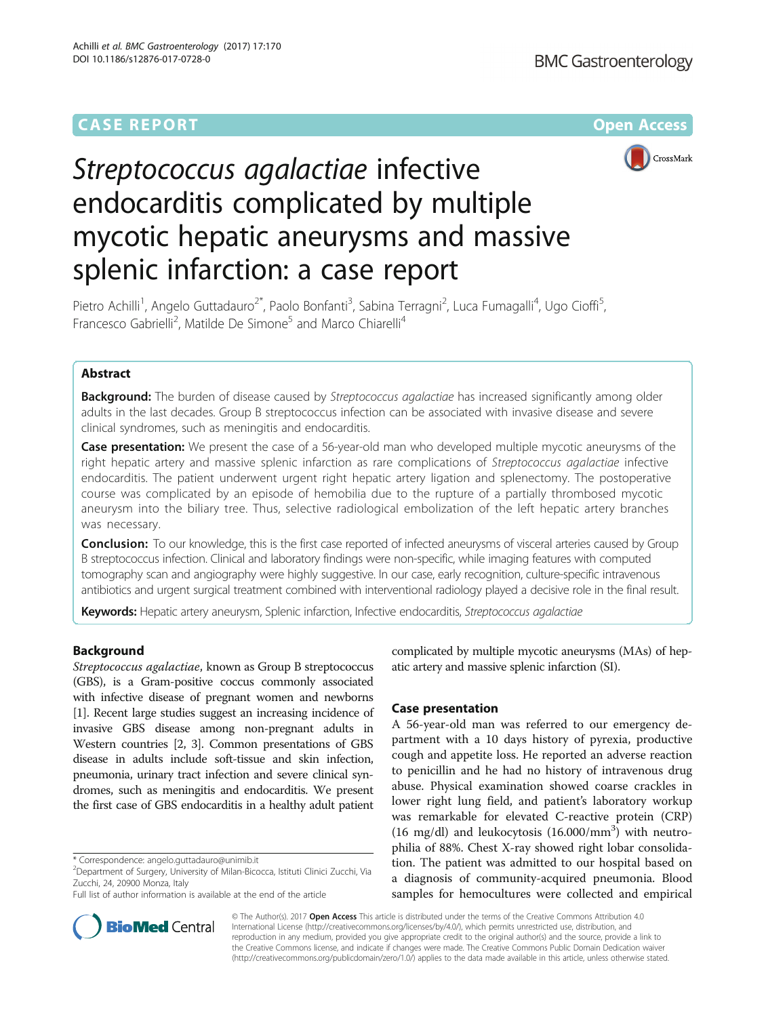### **CASE REPORT CASE ACCESS**



# Streptococcus agalactiae infective endocarditis complicated by multiple mycotic hepatic aneurysms and massive splenic infarction: a case report

Pietro Achilli<sup>1</sup>, Angelo Guttadauro<sup>2\*</sup>, Paolo Bonfanti<sup>3</sup>, Sabina Terragni<sup>2</sup>, Luca Fumagalli<sup>4</sup>, Ugo Cioffi<sup>5</sup> , Francesco Gabrielli<sup>2</sup>, Matilde De Simone<sup>5</sup> and Marco Chiarelli<sup>4</sup>

### Abstract

**Background:** The burden of disease caused by Streptococcus agalactiae has increased significantly among older adults in the last decades. Group B streptococcus infection can be associated with invasive disease and severe clinical syndromes, such as meningitis and endocarditis.

Case presentation: We present the case of a 56-year-old man who developed multiple mycotic aneurysms of the right hepatic artery and massive splenic infarction as rare complications of Streptococcus agalactiae infective endocarditis. The patient underwent urgent right hepatic artery ligation and splenectomy. The postoperative course was complicated by an episode of hemobilia due to the rupture of a partially thrombosed mycotic aneurysm into the biliary tree. Thus, selective radiological embolization of the left hepatic artery branches was necessary.

Conclusion: To our knowledge, this is the first case reported of infected aneurysms of visceral arteries caused by Group B streptococcus infection. Clinical and laboratory findings were non-specific, while imaging features with computed tomography scan and angiography were highly suggestive. In our case, early recognition, culture-specific intravenous antibiotics and urgent surgical treatment combined with interventional radiology played a decisive role in the final result.

Keywords: Hepatic artery aneurysm, Splenic infarction, Infective endocarditis, Streptococcus agalactiae

### Background

Streptococcus agalactiae, known as Group B streptococcus (GBS), is a Gram-positive coccus commonly associated with infective disease of pregnant women and newborns [[1](#page-4-0)]. Recent large studies suggest an increasing incidence of invasive GBS disease among non-pregnant adults in Western countries [\[2, 3\]](#page-4-0). Common presentations of GBS disease in adults include soft-tissue and skin infection, pneumonia, urinary tract infection and severe clinical syndromes, such as meningitis and endocarditis. We present the first case of GBS endocarditis in a healthy adult patient



### Case presentation

A 56-year-old man was referred to our emergency department with a 10 days history of pyrexia, productive cough and appetite loss. He reported an adverse reaction to penicillin and he had no history of intravenous drug abuse. Physical examination showed coarse crackles in lower right lung field, and patient's laboratory workup was remarkable for elevated C-reactive protein (CRP) (16 mg/dl) and leukocytosis  $(16.000/\text{mm}^3)$  with neutrophilia of 88%. Chest X-ray showed right lobar consolidation. The patient was admitted to our hospital based on a diagnosis of community-acquired pneumonia. Blood samples for hemocultures were collected and empirical



© The Author(s). 2017 Open Access This article is distributed under the terms of the Creative Commons Attribution 4.0 International License [\(http://creativecommons.org/licenses/by/4.0/](http://creativecommons.org/licenses/by/4.0/)), which permits unrestricted use, distribution, and reproduction in any medium, provided you give appropriate credit to the original author(s) and the source, provide a link to the Creative Commons license, and indicate if changes were made. The Creative Commons Public Domain Dedication waiver [\(http://creativecommons.org/publicdomain/zero/1.0/](http://creativecommons.org/publicdomain/zero/1.0/)) applies to the data made available in this article, unless otherwise stated.

<sup>\*</sup> Correspondence: [angelo.guttadauro@unimib.it](mailto:angelo.guttadauro@unimib.it) <sup>2</sup>

Department of Surgery, University of Milan-Bicocca, Istituti Clinici Zucchi, Via Zucchi, 24, 20900 Monza, Italy

Full list of author information is available at the end of the article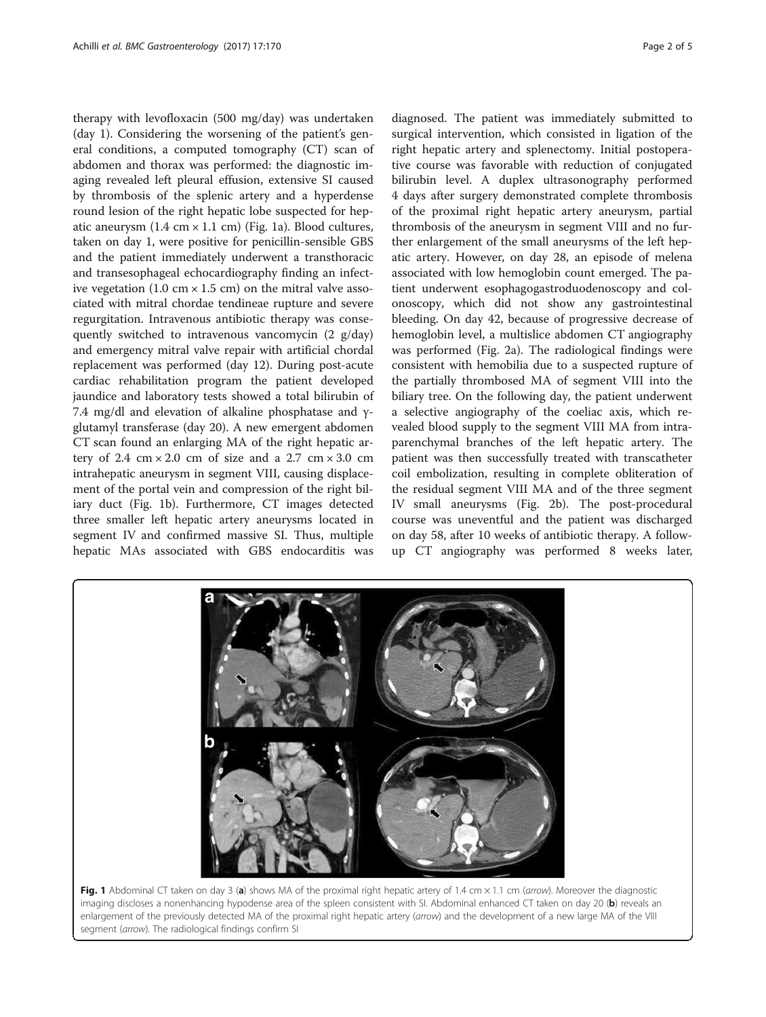therapy with levofloxacin (500 mg/day) was undertaken (day 1). Considering the worsening of the patient's general conditions, a computed tomography (CT) scan of abdomen and thorax was performed: the diagnostic imaging revealed left pleural effusion, extensive SI caused by thrombosis of the splenic artery and a hyperdense round lesion of the right hepatic lobe suspected for hepatic aneurysm  $(1.4 \text{ cm} \times 1.1 \text{ cm})$  (Fig. 1a). Blood cultures, taken on day 1, were positive for penicillin-sensible GBS and the patient immediately underwent a transthoracic and transesophageal echocardiography finding an infective vegetation (1.0 cm  $\times$  1.5 cm) on the mitral valve associated with mitral chordae tendineae rupture and severe regurgitation. Intravenous antibiotic therapy was consequently switched to intravenous vancomycin (2 g/day) and emergency mitral valve repair with artificial chordal replacement was performed (day 12). During post-acute cardiac rehabilitation program the patient developed jaundice and laboratory tests showed a total bilirubin of 7.4 mg/dl and elevation of alkaline phosphatase and γglutamyl transferase (day 20). A new emergent abdomen CT scan found an enlarging MA of the right hepatic artery of 2.4  $\text{cm} \times 2.0 \text{ cm}$  of size and a 2.7  $\text{cm} \times 3.0 \text{ cm}$ intrahepatic aneurysm in segment VIII, causing displacement of the portal vein and compression of the right biliary duct (Fig. 1b). Furthermore, CT images detected three smaller left hepatic artery aneurysms located in segment IV and confirmed massive SI. Thus, multiple hepatic MAs associated with GBS endocarditis was

diagnosed. The patient was immediately submitted to surgical intervention, which consisted in ligation of the right hepatic artery and splenectomy. Initial postoperative course was favorable with reduction of conjugated bilirubin level. A duplex ultrasonography performed 4 days after surgery demonstrated complete thrombosis of the proximal right hepatic artery aneurysm, partial thrombosis of the aneurysm in segment VIII and no further enlargement of the small aneurysms of the left hepatic artery. However, on day 28, an episode of melena associated with low hemoglobin count emerged. The patient underwent esophagogastroduodenoscopy and colonoscopy, which did not show any gastrointestinal bleeding. On day 42, because of progressive decrease of hemoglobin level, a multislice abdomen CT angiography was performed (Fig. [2a\)](#page-2-0). The radiological findings were consistent with hemobilia due to a suspected rupture of the partially thrombosed MA of segment VIII into the biliary tree. On the following day, the patient underwent a selective angiography of the coeliac axis, which revealed blood supply to the segment VIII MA from intraparenchymal branches of the left hepatic artery. The patient was then successfully treated with transcatheter coil embolization, resulting in complete obliteration of the residual segment VIII MA and of the three segment IV small aneurysms (Fig. [2b](#page-2-0)). The post-procedural course was uneventful and the patient was discharged on day 58, after 10 weeks of antibiotic therapy. A followup CT angiography was performed 8 weeks later,



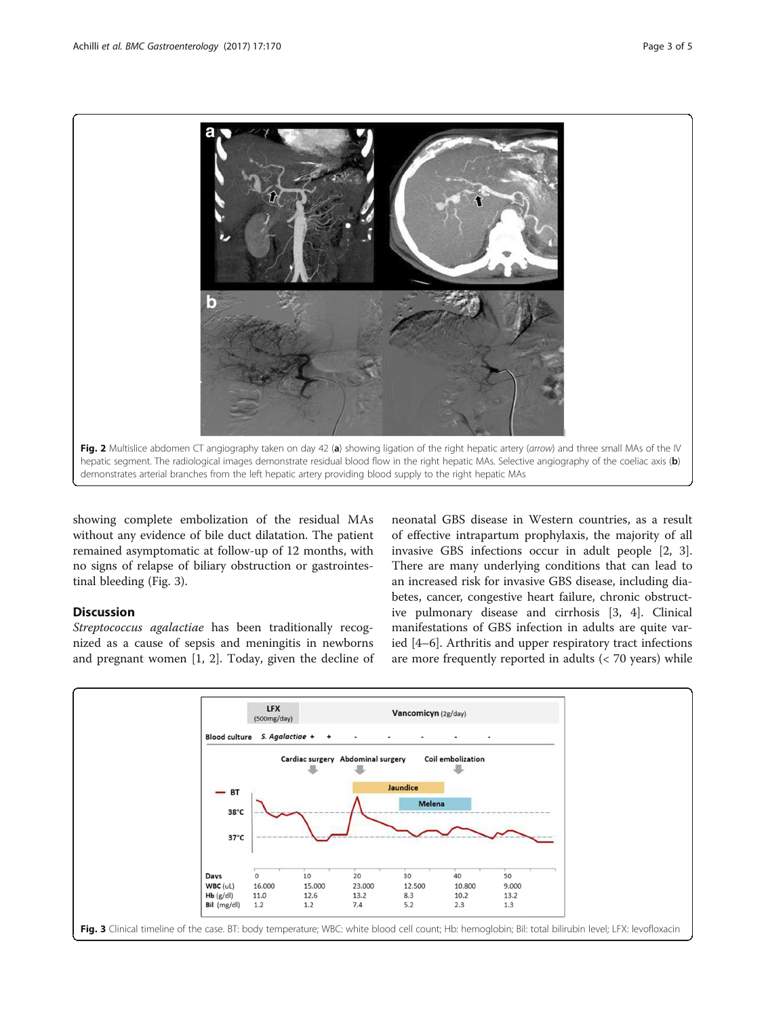<span id="page-2-0"></span>

showing complete embolization of the residual MAs without any evidence of bile duct dilatation. The patient remained asymptomatic at follow-up of 12 months, with no signs of relapse of biliary obstruction or gastrointestinal bleeding (Fig. 3).

### Discussion

Streptococcus agalactiae has been traditionally recognized as a cause of sepsis and meningitis in newborns and pregnant women [\[1](#page-4-0), [2\]](#page-4-0). Today, given the decline of

neonatal GBS disease in Western countries, as a result of effective intrapartum prophylaxis, the majority of all invasive GBS infections occur in adult people [[2, 3](#page-4-0)]. There are many underlying conditions that can lead to an increased risk for invasive GBS disease, including diabetes, cancer, congestive heart failure, chronic obstructive pulmonary disease and cirrhosis [[3](#page-4-0), [4](#page-4-0)]. Clinical manifestations of GBS infection in adults are quite varied [\[4](#page-4-0)–[6\]](#page-4-0). Arthritis and upper respiratory tract infections are more frequently reported in adults (< 70 years) while

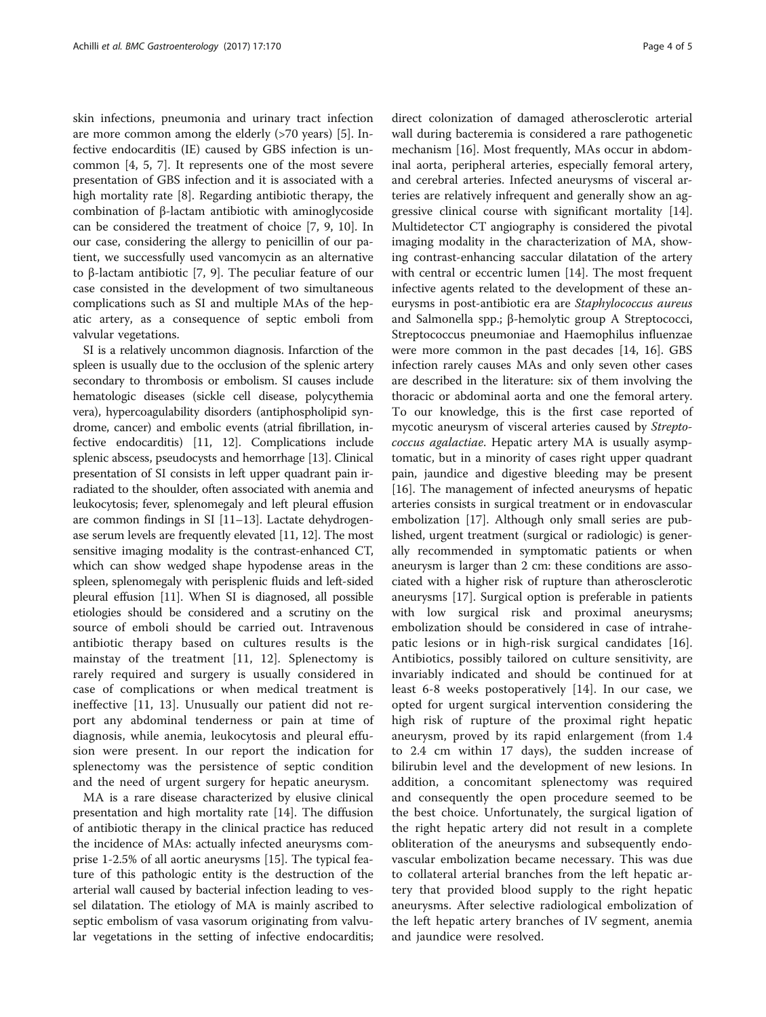skin infections, pneumonia and urinary tract infection are more common among the elderly (>70 years) [[5\]](#page-4-0). Infective endocarditis (IE) caused by GBS infection is uncommon [\[4](#page-4-0), [5](#page-4-0), [7](#page-4-0)]. It represents one of the most severe presentation of GBS infection and it is associated with a high mortality rate [\[8](#page-4-0)]. Regarding antibiotic therapy, the combination of β-lactam antibiotic with aminoglycoside can be considered the treatment of choice [\[7](#page-4-0), [9, 10\]](#page-4-0). In our case, considering the allergy to penicillin of our patient, we successfully used vancomycin as an alternative to β-lactam antibiotic [[7, 9](#page-4-0)]. The peculiar feature of our case consisted in the development of two simultaneous complications such as SI and multiple MAs of the hepatic artery, as a consequence of septic emboli from valvular vegetations.

SI is a relatively uncommon diagnosis. Infarction of the spleen is usually due to the occlusion of the splenic artery secondary to thrombosis or embolism. SI causes include hematologic diseases (sickle cell disease, polycythemia vera), hypercoagulability disorders (antiphospholipid syndrome, cancer) and embolic events (atrial fibrillation, infective endocarditis) [\[11, 12](#page-4-0)]. Complications include splenic abscess, pseudocysts and hemorrhage [[13](#page-4-0)]. Clinical presentation of SI consists in left upper quadrant pain irradiated to the shoulder, often associated with anemia and leukocytosis; fever, splenomegaly and left pleural effusion are common findings in SI [[11](#page-4-0)–[13\]](#page-4-0). Lactate dehydrogenase serum levels are frequently elevated [\[11, 12](#page-4-0)]. The most sensitive imaging modality is the contrast-enhanced CT, which can show wedged shape hypodense areas in the spleen, splenomegaly with perisplenic fluids and left-sided pleural effusion [[11](#page-4-0)]. When SI is diagnosed, all possible etiologies should be considered and a scrutiny on the source of emboli should be carried out. Intravenous antibiotic therapy based on cultures results is the mainstay of the treatment [\[11](#page-4-0), [12\]](#page-4-0). Splenectomy is rarely required and surgery is usually considered in case of complications or when medical treatment is ineffective [[11](#page-4-0), [13\]](#page-4-0). Unusually our patient did not report any abdominal tenderness or pain at time of diagnosis, while anemia, leukocytosis and pleural effusion were present. In our report the indication for splenectomy was the persistence of septic condition and the need of urgent surgery for hepatic aneurysm.

MA is a rare disease characterized by elusive clinical presentation and high mortality rate [[14\]](#page-4-0). The diffusion of antibiotic therapy in the clinical practice has reduced the incidence of MAs: actually infected aneurysms comprise 1-2.5% of all aortic aneurysms [[15](#page-4-0)]. The typical feature of this pathologic entity is the destruction of the arterial wall caused by bacterial infection leading to vessel dilatation. The etiology of MA is mainly ascribed to septic embolism of vasa vasorum originating from valvular vegetations in the setting of infective endocarditis;

direct colonization of damaged atherosclerotic arterial wall during bacteremia is considered a rare pathogenetic mechanism [[16](#page-4-0)]. Most frequently, MAs occur in abdominal aorta, peripheral arteries, especially femoral artery, and cerebral arteries. Infected aneurysms of visceral arteries are relatively infrequent and generally show an aggressive clinical course with significant mortality [\[14](#page-4-0)]. Multidetector CT angiography is considered the pivotal imaging modality in the characterization of MA, showing contrast-enhancing saccular dilatation of the artery with central or eccentric lumen [\[14](#page-4-0)]. The most frequent infective agents related to the development of these aneurysms in post-antibiotic era are Staphylococcus aureus and Salmonella spp.; β-hemolytic group A Streptococci, Streptococcus pneumoniae and Haemophilus influenzae were more common in the past decades [[14, 16\]](#page-4-0). GBS infection rarely causes MAs and only seven other cases are described in the literature: six of them involving the thoracic or abdominal aorta and one the femoral artery. To our knowledge, this is the first case reported of mycotic aneurysm of visceral arteries caused by Streptococcus agalactiae. Hepatic artery MA is usually asymptomatic, but in a minority of cases right upper quadrant pain, jaundice and digestive bleeding may be present [[16\]](#page-4-0). The management of infected aneurysms of hepatic arteries consists in surgical treatment or in endovascular embolization [\[17](#page-4-0)]. Although only small series are published, urgent treatment (surgical or radiologic) is generally recommended in symptomatic patients or when aneurysm is larger than 2 cm: these conditions are associated with a higher risk of rupture than atherosclerotic aneurysms [[17\]](#page-4-0). Surgical option is preferable in patients with low surgical risk and proximal aneurysms; embolization should be considered in case of intrahepatic lesions or in high-risk surgical candidates [\[16](#page-4-0)]. Antibiotics, possibly tailored on culture sensitivity, are invariably indicated and should be continued for at least 6-8 weeks postoperatively [[14\]](#page-4-0). In our case, we opted for urgent surgical intervention considering the high risk of rupture of the proximal right hepatic aneurysm, proved by its rapid enlargement (from 1.4 to 2.4 cm within 17 days), the sudden increase of bilirubin level and the development of new lesions. In addition, a concomitant splenectomy was required and consequently the open procedure seemed to be the best choice. Unfortunately, the surgical ligation of the right hepatic artery did not result in a complete obliteration of the aneurysms and subsequently endovascular embolization became necessary. This was due to collateral arterial branches from the left hepatic artery that provided blood supply to the right hepatic aneurysms. After selective radiological embolization of the left hepatic artery branches of IV segment, anemia and jaundice were resolved.